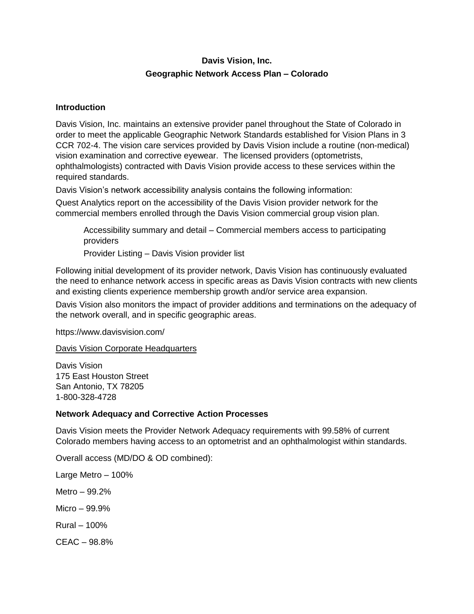# **Davis Vision, Inc. Geographic Network Access Plan – Colorado**

# **Introduction**

Davis Vision, Inc. maintains an extensive provider panel throughout the State of Colorado in order to meet the applicable Geographic Network Standards established for Vision Plans in 3 CCR 702-4. The vision care services provided by Davis Vision include a routine (non-medical) vision examination and corrective eyewear. The licensed providers (optometrists, ophthalmologists) contracted with Davis Vision provide access to these services within the required standards.

Davis Vision's network accessibility analysis contains the following information:

Quest Analytics report on the accessibility of the Davis Vision provider network for the commercial members enrolled through the Davis Vision commercial group vision plan.

Accessibility summary and detail – Commercial members access to participating providers

Provider Listing – Davis Vision provider list

Following initial development of its provider network, Davis Vision has continuously evaluated the need to enhance network access in specific areas as Davis Vision contracts with new clients and existing clients experience membership growth and/or service area expansion.

Davis Vision also monitors the impact of provider additions and terminations on the adequacy of the network overall, and in specific geographic areas.

https://www.davisvision.com/

# Davis Vision Corporate Headquarters

Davis Vision 175 East Houston Street San Antonio, TX 78205 1-800-328-4728

# **Network Adequacy and Corrective Action Processes**

Davis Vision meets the Provider Network Adequacy requirements with 99.58% of current Colorado members having access to an optometrist and an ophthalmologist within standards.

Overall access (MD/DO & OD combined):

Large Metro – 100% Metro – 99.2% Micro – 99.9% Rural – 100% CEAC – 98.8%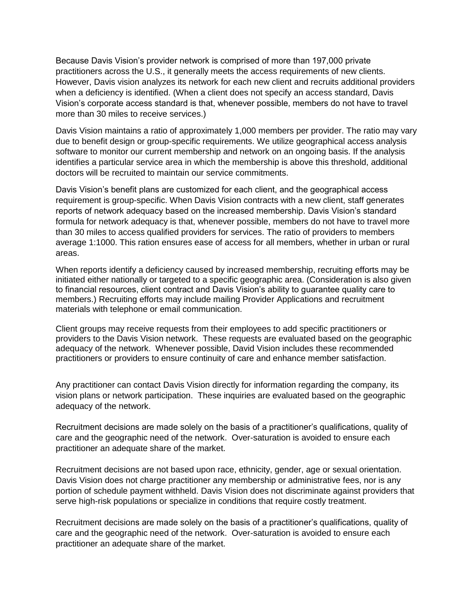Because Davis Vision's provider network is comprised of more than 197,000 private practitioners across the U.S., it generally meets the access requirements of new clients. However, Davis vision analyzes its network for each new client and recruits additional providers when a deficiency is identified. (When a client does not specify an access standard, Davis Vision's corporate access standard is that, whenever possible, members do not have to travel more than 30 miles to receive services.)

Davis Vision maintains a ratio of approximately 1,000 members per provider. The ratio may vary due to benefit design or group-specific requirements. We utilize geographical access analysis software to monitor our current membership and network on an ongoing basis. If the analysis identifies a particular service area in which the membership is above this threshold, additional doctors will be recruited to maintain our service commitments.

Davis Vision's benefit plans are customized for each client, and the geographical access requirement is group-specific. When Davis Vision contracts with a new client, staff generates reports of network adequacy based on the increased membership. Davis Vision's standard formula for network adequacy is that, whenever possible, members do not have to travel more than 30 miles to access qualified providers for services. The ratio of providers to members average 1:1000. This ration ensures ease of access for all members, whether in urban or rural areas.

When reports identify a deficiency caused by increased membership, recruiting efforts may be initiated either nationally or targeted to a specific geographic area. (Consideration is also given to financial resources, client contract and Davis Vision's ability to guarantee quality care to members.) Recruiting efforts may include mailing Provider Applications and recruitment materials with telephone or email communication.

Client groups may receive requests from their employees to add specific practitioners or providers to the Davis Vision network. These requests are evaluated based on the geographic adequacy of the network. Whenever possible, David Vision includes these recommended practitioners or providers to ensure continuity of care and enhance member satisfaction.

Any practitioner can contact Davis Vision directly for information regarding the company, its vision plans or network participation. These inquiries are evaluated based on the geographic adequacy of the network.

Recruitment decisions are made solely on the basis of a practitioner's qualifications, quality of care and the geographic need of the network. Over-saturation is avoided to ensure each practitioner an adequate share of the market.

Recruitment decisions are not based upon race, ethnicity, gender, age or sexual orientation. Davis Vision does not charge practitioner any membership or administrative fees, nor is any portion of schedule payment withheld. Davis Vision does not discriminate against providers that serve high-risk populations or specialize in conditions that require costly treatment.

Recruitment decisions are made solely on the basis of a practitioner's qualifications, quality of care and the geographic need of the network. Over-saturation is avoided to ensure each practitioner an adequate share of the market.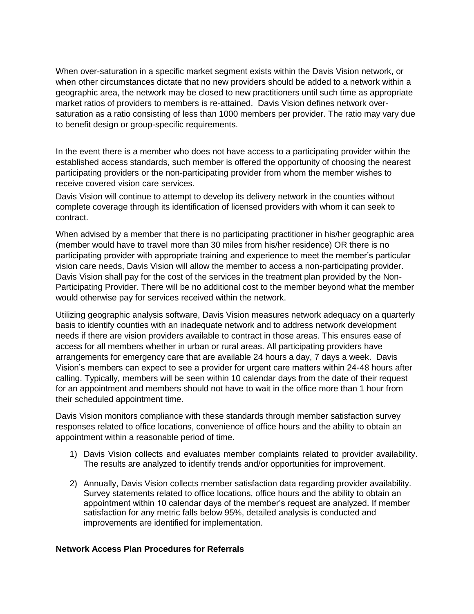When over-saturation in a specific market segment exists within the Davis Vision network, or when other circumstances dictate that no new providers should be added to a network within a geographic area, the network may be closed to new practitioners until such time as appropriate market ratios of providers to members is re-attained. Davis Vision defines network oversaturation as a ratio consisting of less than 1000 members per provider. The ratio may vary due to benefit design or group-specific requirements.

In the event there is a member who does not have access to a participating provider within the established access standards, such member is offered the opportunity of choosing the nearest participating providers or the non-participating provider from whom the member wishes to receive covered vision care services.

Davis Vision will continue to attempt to develop its delivery network in the counties without complete coverage through its identification of licensed providers with whom it can seek to contract.

When advised by a member that there is no participating practitioner in his/her geographic area (member would have to travel more than 30 miles from his/her residence) OR there is no participating provider with appropriate training and experience to meet the member's particular vision care needs, Davis Vision will allow the member to access a non-participating provider. Davis Vision shall pay for the cost of the services in the treatment plan provided by the Non-Participating Provider. There will be no additional cost to the member beyond what the member would otherwise pay for services received within the network.

Utilizing geographic analysis software, Davis Vision measures network adequacy on a quarterly basis to identify counties with an inadequate network and to address network development needs if there are vision providers available to contract in those areas. This ensures ease of access for all members whether in urban or rural areas. All participating providers have arrangements for emergency care that are available 24 hours a day, 7 days a week. Davis Vision's members can expect to see a provider for urgent care matters within 24-48 hours after calling. Typically, members will be seen within 10 calendar days from the date of their request for an appointment and members should not have to wait in the office more than 1 hour from their scheduled appointment time.

Davis Vision monitors compliance with these standards through member satisfaction survey responses related to office locations, convenience of office hours and the ability to obtain an appointment within a reasonable period of time.

- 1) Davis Vision collects and evaluates member complaints related to provider availability. The results are analyzed to identify trends and/or opportunities for improvement.
- 2) Annually, Davis Vision collects member satisfaction data regarding provider availability. Survey statements related to office locations, office hours and the ability to obtain an appointment within 10 calendar days of the member's request are analyzed. If member satisfaction for any metric falls below 95%, detailed analysis is conducted and improvements are identified for implementation.

### **Network Access Plan Procedures for Referrals**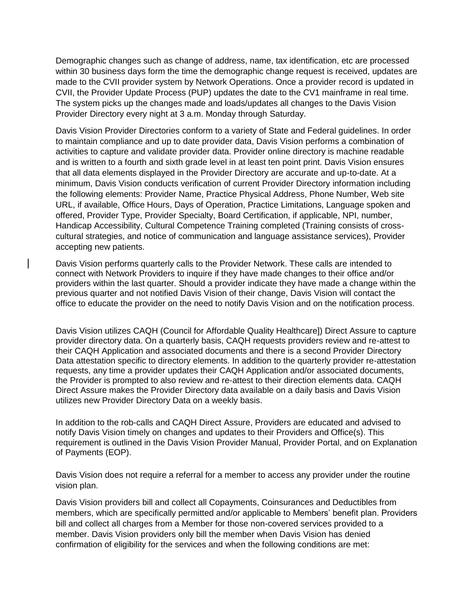Demographic changes such as change of address, name, tax identification, etc are processed within 30 business days form the time the demographic change request is received, updates are made to the CVII provider system by Network Operations. Once a provider record is updated in CVII, the Provider Update Process (PUP) updates the date to the CV1 mainframe in real time. The system picks up the changes made and loads/updates all changes to the Davis Vision Provider Directory every night at 3 a.m. Monday through Saturday.

Davis Vision Provider Directories conform to a variety of State and Federal guidelines. In order to maintain compliance and up to date provider data, Davis Vision performs a combination of activities to capture and validate provider data. Provider online directory is machine readable and is written to a fourth and sixth grade level in at least ten point print. Davis Vision ensures that all data elements displayed in the Provider Directory are accurate and up-to-date. At a minimum, Davis Vision conducts verification of current Provider Directory information including the following elements: Provider Name, Practice Physical Address, Phone Number, Web site URL, if available, Office Hours, Days of Operation, Practice Limitations, Language spoken and offered, Provider Type, Provider Specialty, Board Certification, if applicable, NPI, number, Handicap Accessibility, Cultural Competence Training completed (Training consists of crosscultural strategies, and notice of communication and language assistance services), Provider accepting new patients.

Davis Vision performs quarterly calls to the Provider Network. These calls are intended to connect with Network Providers to inquire if they have made changes to their office and/or providers within the last quarter. Should a provider indicate they have made a change within the previous quarter and not notified Davis Vision of their change, Davis Vision will contact the office to educate the provider on the need to notify Davis Vision and on the notification process.

Davis Vision utilizes CAQH (Council for Affordable Quality Healthcare]) Direct Assure to capture provider directory data. On a quarterly basis, CAQH requests providers review and re-attest to their CAQH Application and associated documents and there is a second Provider Directory Data attestation specific to directory elements. In addition to the quarterly provider re-attestation requests, any time a provider updates their CAQH Application and/or associated documents, the Provider is prompted to also review and re-attest to their direction elements data. CAQH Direct Assure makes the Provider Directory data available on a daily basis and Davis Vision utilizes new Provider Directory Data on a weekly basis.

In addition to the rob-calls and CAQH Direct Assure, Providers are educated and advised to notify Davis Vision timely on changes and updates to their Providers and Office(s). This requirement is outlined in the Davis Vision Provider Manual, Provider Portal, and on Explanation of Payments (EOP).

Davis Vision does not require a referral for a member to access any provider under the routine vision plan.

Davis Vision providers bill and collect all Copayments, Coinsurances and Deductibles from members, which are specifically permitted and/or applicable to Members' benefit plan. Providers bill and collect all charges from a Member for those non-covered services provided to a member. Davis Vision providers only bill the member when Davis Vision has denied confirmation of eligibility for the services and when the following conditions are met: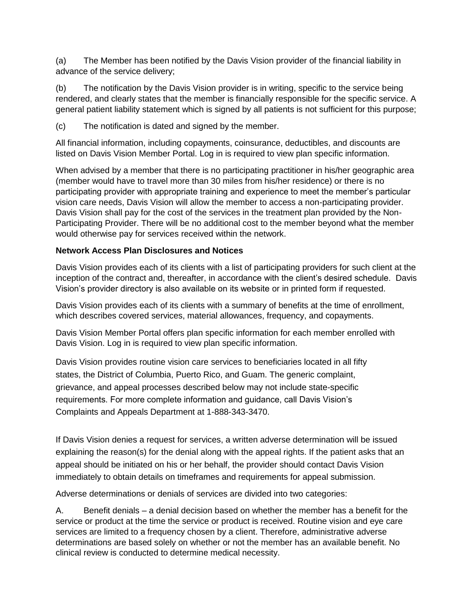(a) The Member has been notified by the Davis Vision provider of the financial liability in advance of the service delivery;

(b) The notification by the Davis Vision provider is in writing, specific to the service being rendered, and clearly states that the member is financially responsible for the specific service. A general patient liability statement which is signed by all patients is not sufficient for this purpose;

(c) The notification is dated and signed by the member.

All financial information, including copayments, coinsurance, deductibles, and discounts are listed on Davis Vision Member Portal. Log in is required to view plan specific information.

When advised by a member that there is no participating practitioner in his/her geographic area (member would have to travel more than 30 miles from his/her residence) or there is no participating provider with appropriate training and experience to meet the member's particular vision care needs, Davis Vision will allow the member to access a non-participating provider. Davis Vision shall pay for the cost of the services in the treatment plan provided by the Non-Participating Provider. There will be no additional cost to the member beyond what the member would otherwise pay for services received within the network.

# **Network Access Plan Disclosures and Notices**

Davis Vision provides each of its clients with a list of participating providers for such client at the inception of the contract and, thereafter, in accordance with the client's desired schedule. Davis Vision's provider directory is also available on its website or in printed form if requested.

Davis Vision provides each of its clients with a summary of benefits at the time of enrollment, which describes covered services, material allowances, frequency, and copayments.

Davis Vision Member Portal offers plan specific information for each member enrolled with Davis Vision. Log in is required to view plan specific information.

Davis Vision provides routine vision care services to beneficiaries located in all fifty states, the District of Columbia, Puerto Rico, and Guam. The generic complaint, grievance, and appeal processes described below may not include state-specific requirements. For more complete information and guidance, call Davis Vision's Complaints and Appeals Department at 1-888-343-3470.

If Davis Vision denies a request for services, a written adverse determination will be issued explaining the reason(s) for the denial along with the appeal rights. If the patient asks that an appeal should be initiated on his or her behalf, the provider should contact Davis Vision immediately to obtain details on timeframes and requirements for appeal submission.

Adverse determinations or denials of services are divided into two categories:

A. Benefit denials – a denial decision based on whether the member has a benefit for the service or product at the time the service or product is received. Routine vision and eye care services are limited to a frequency chosen by a client. Therefore, administrative adverse determinations are based solely on whether or not the member has an available benefit. No clinical review is conducted to determine medical necessity.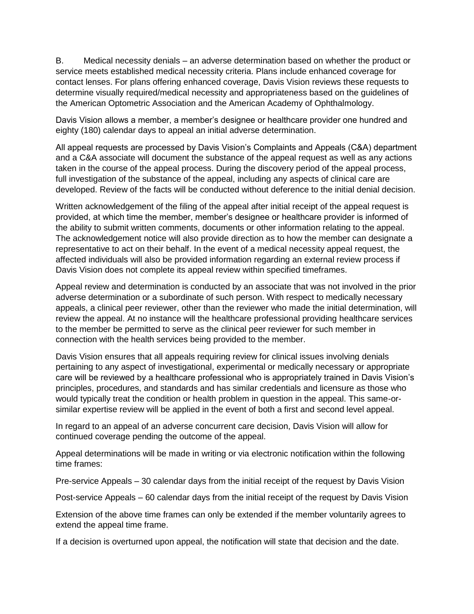B. Medical necessity denials – an adverse determination based on whether the product or service meets established medical necessity criteria. Plans include enhanced coverage for contact lenses. For plans offering enhanced coverage, Davis Vision reviews these requests to determine visually required/medical necessity and appropriateness based on the guidelines of the American Optometric Association and the American Academy of Ophthalmology.

Davis Vision allows a member, a member's designee or healthcare provider one hundred and eighty (180) calendar days to appeal an initial adverse determination.

All appeal requests are processed by Davis Vision's Complaints and Appeals (C&A) department and a C&A associate will document the substance of the appeal request as well as any actions taken in the course of the appeal process. During the discovery period of the appeal process, full investigation of the substance of the appeal, including any aspects of clinical care are developed. Review of the facts will be conducted without deference to the initial denial decision.

Written acknowledgement of the filing of the appeal after initial receipt of the appeal request is provided, at which time the member, member's designee or healthcare provider is informed of the ability to submit written comments, documents or other information relating to the appeal. The acknowledgement notice will also provide direction as to how the member can designate a representative to act on their behalf. In the event of a medical necessity appeal request, the affected individuals will also be provided information regarding an external review process if Davis Vision does not complete its appeal review within specified timeframes.

Appeal review and determination is conducted by an associate that was not involved in the prior adverse determination or a subordinate of such person. With respect to medically necessary appeals, a clinical peer reviewer, other than the reviewer who made the initial determination, will review the appeal. At no instance will the healthcare professional providing healthcare services to the member be permitted to serve as the clinical peer reviewer for such member in connection with the health services being provided to the member.

Davis Vision ensures that all appeals requiring review for clinical issues involving denials pertaining to any aspect of investigational, experimental or medically necessary or appropriate care will be reviewed by a healthcare professional who is appropriately trained in Davis Vision's principles, procedures, and standards and has similar credentials and licensure as those who would typically treat the condition or health problem in question in the appeal. This same-orsimilar expertise review will be applied in the event of both a first and second level appeal.

In regard to an appeal of an adverse concurrent care decision, Davis Vision will allow for continued coverage pending the outcome of the appeal.

Appeal determinations will be made in writing or via electronic notification within the following time frames:

Pre-service Appeals – 30 calendar days from the initial receipt of the request by Davis Vision

Post-service Appeals – 60 calendar days from the initial receipt of the request by Davis Vision

Extension of the above time frames can only be extended if the member voluntarily agrees to extend the appeal time frame.

If a decision is overturned upon appeal, the notification will state that decision and the date.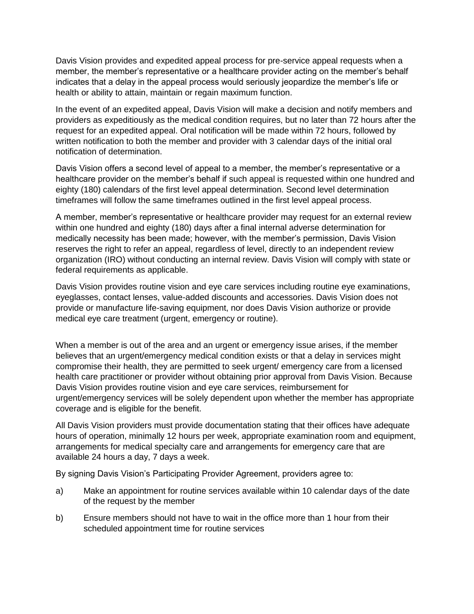Davis Vision provides and expedited appeal process for pre-service appeal requests when a member, the member's representative or a healthcare provider acting on the member's behalf indicates that a delay in the appeal process would seriously jeopardize the member's life or health or ability to attain, maintain or regain maximum function.

In the event of an expedited appeal, Davis Vision will make a decision and notify members and providers as expeditiously as the medical condition requires, but no later than 72 hours after the request for an expedited appeal. Oral notification will be made within 72 hours, followed by written notification to both the member and provider with 3 calendar days of the initial oral notification of determination.

Davis Vision offers a second level of appeal to a member, the member's representative or a healthcare provider on the member's behalf if such appeal is requested within one hundred and eighty (180) calendars of the first level appeal determination. Second level determination timeframes will follow the same timeframes outlined in the first level appeal process.

A member, member's representative or healthcare provider may request for an external review within one hundred and eighty (180) days after a final internal adverse determination for medically necessity has been made; however, with the member's permission, Davis Vision reserves the right to refer an appeal, regardless of level, directly to an independent review organization (IRO) without conducting an internal review. Davis Vision will comply with state or federal requirements as applicable.

Davis Vision provides routine vision and eye care services including routine eye examinations, eyeglasses, contact lenses, value-added discounts and accessories. Davis Vision does not provide or manufacture life-saving equipment, nor does Davis Vision authorize or provide medical eye care treatment (urgent, emergency or routine).

When a member is out of the area and an urgent or emergency issue arises, if the member believes that an urgent/emergency medical condition exists or that a delay in services might compromise their health, they are permitted to seek urgent/ emergency care from a licensed health care practitioner or provider without obtaining prior approval from Davis Vision. Because Davis Vision provides routine vision and eye care services, reimbursement for urgent/emergency services will be solely dependent upon whether the member has appropriate coverage and is eligible for the benefit.

All Davis Vision providers must provide documentation stating that their offices have adequate hours of operation, minimally 12 hours per week, appropriate examination room and equipment, arrangements for medical specialty care and arrangements for emergency care that are available 24 hours a day, 7 days a week.

By signing Davis Vision's Participating Provider Agreement, providers agree to:

- a) Make an appointment for routine services available within 10 calendar days of the date of the request by the member
- b) Ensure members should not have to wait in the office more than 1 hour from their scheduled appointment time for routine services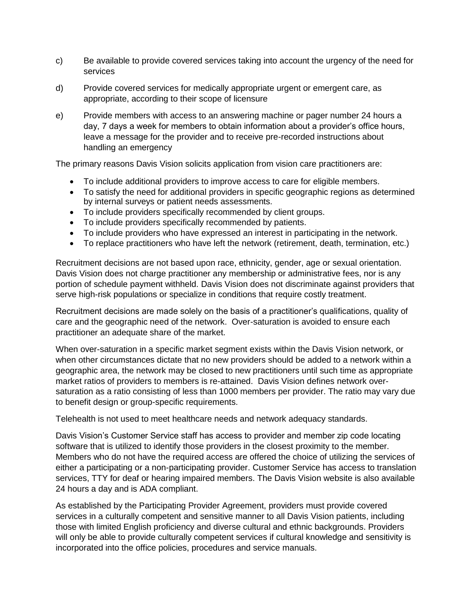- c) Be available to provide covered services taking into account the urgency of the need for services
- d) Provide covered services for medically appropriate urgent or emergent care, as appropriate, according to their scope of licensure
- e) Provide members with access to an answering machine or pager number 24 hours a day, 7 days a week for members to obtain information about a provider's office hours, leave a message for the provider and to receive pre-recorded instructions about handling an emergency

The primary reasons Davis Vision solicits application from vision care practitioners are:

- To include additional providers to improve access to care for eligible members.
- To satisfy the need for additional providers in specific geographic regions as determined by internal surveys or patient needs assessments.
- To include providers specifically recommended by client groups.
- To include providers specifically recommended by patients.
- To include providers who have expressed an interest in participating in the network.
- To replace practitioners who have left the network (retirement, death, termination, etc.)

Recruitment decisions are not based upon race, ethnicity, gender, age or sexual orientation. Davis Vision does not charge practitioner any membership or administrative fees, nor is any portion of schedule payment withheld. Davis Vision does not discriminate against providers that serve high-risk populations or specialize in conditions that require costly treatment.

Recruitment decisions are made solely on the basis of a practitioner's qualifications, quality of care and the geographic need of the network. Over-saturation is avoided to ensure each practitioner an adequate share of the market.

When over-saturation in a specific market segment exists within the Davis Vision network, or when other circumstances dictate that no new providers should be added to a network within a geographic area, the network may be closed to new practitioners until such time as appropriate market ratios of providers to members is re-attained. Davis Vision defines network oversaturation as a ratio consisting of less than 1000 members per provider. The ratio may vary due to benefit design or group-specific requirements.

Telehealth is not used to meet healthcare needs and network adequacy standards.

Davis Vision's Customer Service staff has access to provider and member zip code locating software that is utilized to identify those providers in the closest proximity to the member. Members who do not have the required access are offered the choice of utilizing the services of either a participating or a non-participating provider. Customer Service has access to translation services, TTY for deaf or hearing impaired members. The Davis Vision website is also available 24 hours a day and is ADA compliant.

As established by the Participating Provider Agreement, providers must provide covered services in a culturally competent and sensitive manner to all Davis Vision patients, including those with limited English proficiency and diverse cultural and ethnic backgrounds. Providers will only be able to provide culturally competent services if cultural knowledge and sensitivity is incorporated into the office policies, procedures and service manuals.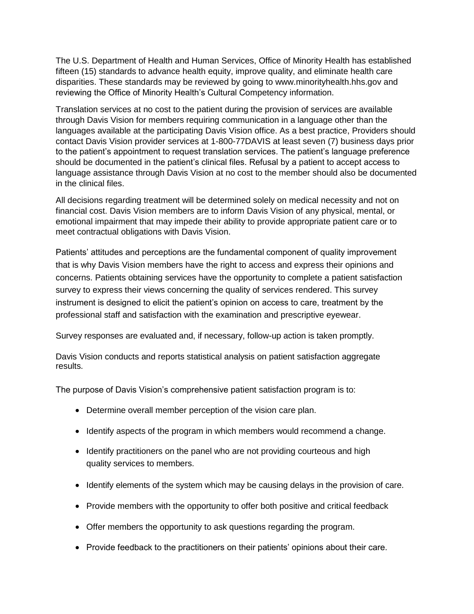The U.S. Department of Health and Human Services, Office of Minority Health has established fifteen (15) standards to advance health equity, improve quality, and eliminate health care disparities. These standards may be reviewed by going to www.minorityhealth.hhs.gov and reviewing the Office of Minority Health's Cultural Competency information.

Translation services at no cost to the patient during the provision of services are available through Davis Vision for members requiring communication in a language other than the languages available at the participating Davis Vision office. As a best practice, Providers should contact Davis Vision provider services at 1-800-77DAVIS at least seven (7) business days prior to the patient's appointment to request translation services. The patient's language preference should be documented in the patient's clinical files. Refusal by a patient to accept access to language assistance through Davis Vision at no cost to the member should also be documented in the clinical files.

All decisions regarding treatment will be determined solely on medical necessity and not on financial cost. Davis Vision members are to inform Davis Vision of any physical, mental, or emotional impairment that may impede their ability to provide appropriate patient care or to meet contractual obligations with Davis Vision.

Patients' attitudes and perceptions are the fundamental component of quality improvement that is why Davis Vision members have the right to access and express their opinions and concerns. Patients obtaining services have the opportunity to complete a patient satisfaction survey to express their views concerning the quality of services rendered. This survey instrument is designed to elicit the patient's opinion on access to care, treatment by the professional staff and satisfaction with the examination and prescriptive eyewear.

Survey responses are evaluated and, if necessary, follow-up action is taken promptly.

Davis Vision conducts and reports statistical analysis on patient satisfaction aggregate results.

The purpose of Davis Vision's comprehensive patient satisfaction program is to:

- Determine overall member perception of the vision care plan.
- Identify aspects of the program in which members would recommend a change.
- Identify practitioners on the panel who are not providing courteous and high quality services to members.
- Identify elements of the system which may be causing delays in the provision of care.
- Provide members with the opportunity to offer both positive and critical feedback
- Offer members the opportunity to ask questions regarding the program.
- Provide feedback to the practitioners on their patients' opinions about their care.